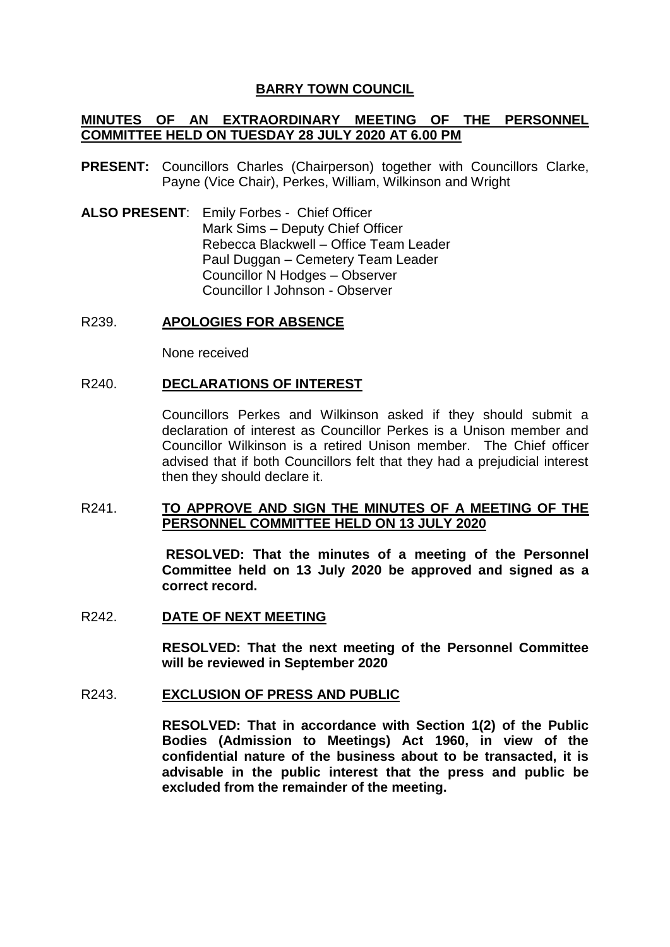# **BARRY TOWN COUNCIL**

# **MINUTES OF AN EXTRAORDINARY MEETING OF THE PERSONNEL COMMITTEE HELD ON TUESDAY 28 JULY 2020 AT 6.00 PM**

- **PRESENT:** Councillors Charles (Chairperson) together with Councillors Clarke, Payne (Vice Chair), Perkes, William, Wilkinson and Wright
- **ALSO PRESENT**: Emily Forbes Chief Officer Mark Sims – Deputy Chief Officer Rebecca Blackwell – Office Team Leader Paul Duggan – Cemetery Team Leader Councillor N Hodges – Observer Councillor I Johnson - Observer

### R239. **APOLOGIES FOR ABSENCE**

None received

#### R240. **DECLARATIONS OF INTEREST**

Councillors Perkes and Wilkinson asked if they should submit a declaration of interest as Councillor Perkes is a Unison member and Councillor Wilkinson is a retired Unison member. The Chief officer advised that if both Councillors felt that they had a prejudicial interest then they should declare it.

#### R241. **TO APPROVE AND SIGN THE MINUTES OF A MEETING OF THE PERSONNEL COMMITTEE HELD ON 13 JULY 2020**

**RESOLVED: That the minutes of a meeting of the Personnel Committee held on 13 July 2020 be approved and signed as a correct record.** 

#### R242. **DATE OF NEXT MEETING**

**RESOLVED: That the next meeting of the Personnel Committee will be reviewed in September 2020** 

#### R243. **EXCLUSION OF PRESS AND PUBLIC**

**RESOLVED: That in accordance with Section 1(2) of the Public Bodies (Admission to Meetings) Act 1960, in view of the confidential nature of the business about to be transacted, it is advisable in the public interest that the press and public be excluded from the remainder of the meeting.**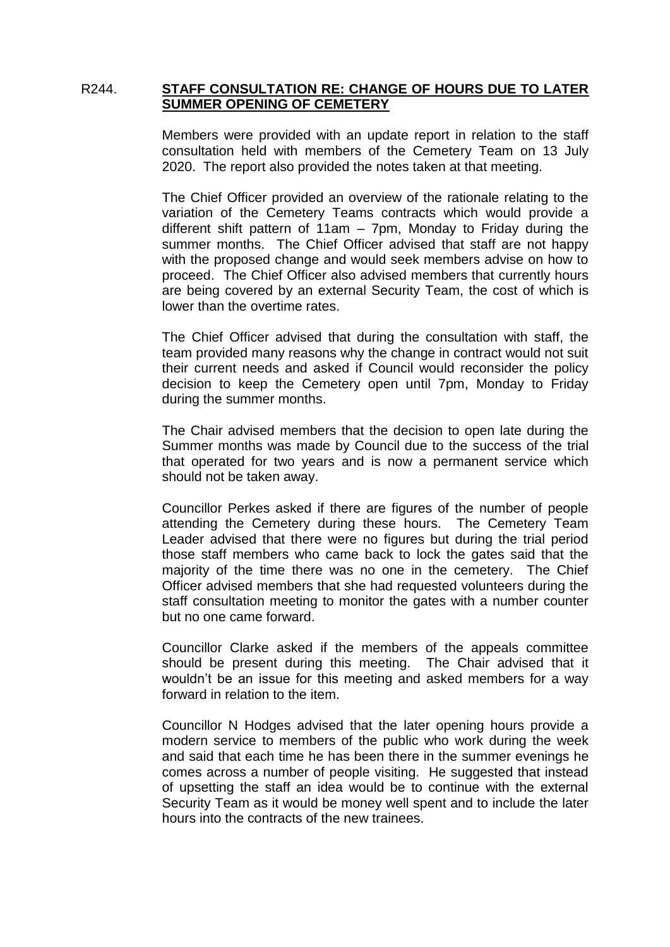### R244. **STAFF CONSULTATION RE: CHANGE OF HOURS DUE TO LATER SUMMER OPENING OF CEMETERY**

Members were provided with an update report in relation to the staff consultation held with members of the Cemetery Team on 13 July 2020. The report also provided the notes taken at that meeting.

The Chief Officer provided an overview of the rationale relating to the variation of the Cemetery Teams contracts which would provide a different shift pattern of 11am – 7pm, Monday to Friday during the summer months. The Chief Officer advised that staff are not happy with the proposed change and would seek members advise on how to proceed. The Chief Officer also advised members that currently hours are being covered by an external Security Team, the cost of which is lower than the overtime rates.

The Chief Officer advised that during the consultation with staff, the team provided many reasons why the change in contract would not suit their current needs and asked if Council would reconsider the policy decision to keep the Cemetery open until 7pm, Monday to Friday during the summer months.

The Chair advised members that the decision to open late during the Summer months was made by Council due to the success of the trial that operated for two years and is now a permanent service which should not be taken away.

Councillor Perkes asked if there are figures of the number of people attending the Cemetery during these hours. The Cemetery Team Leader advised that there were no figures but during the trial period those staff members who came back to lock the gates said that the majority of the time there was no one in the cemetery. The Chief Officer advised members that she had requested volunteers during the staff consultation meeting to monitor the gates with a number counter but no one came forward.

Councillor Clarke asked if the members of the appeals committee should be present during this meeting. The Chair advised that it wouldn't be an issue for this meeting and asked members for a way forward in relation to the item.

Councillor N Hodges advised that the later opening hours provide a modern service to members of the public who work during the week and said that each time he has been there in the summer evenings he comes across a number of people visiting. He suggested that instead of upsetting the staff an idea would be to continue with the external Security Team as it would be money well spent and to include the later hours into the contracts of the new trainees.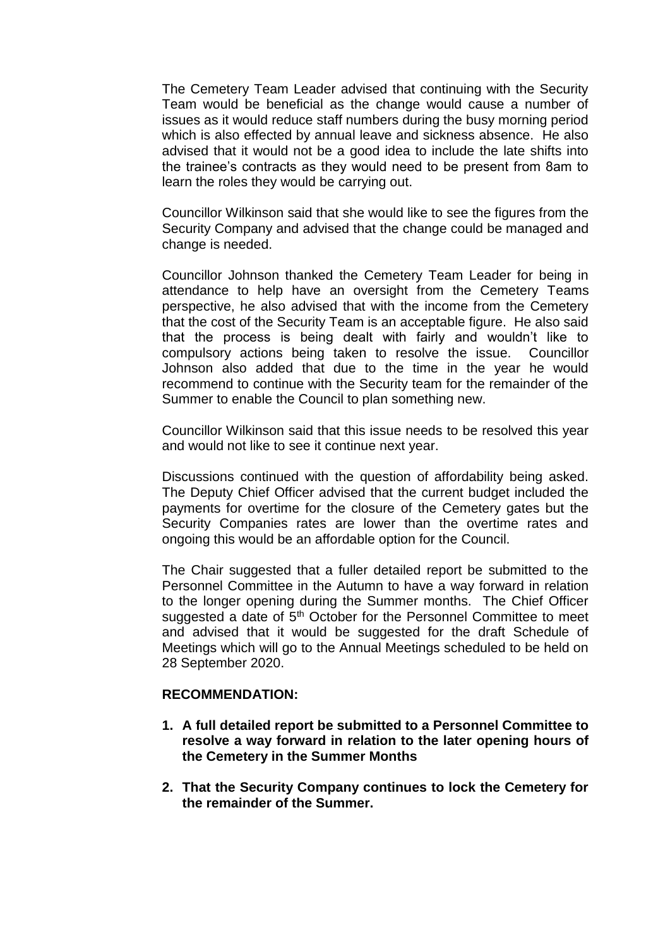The Cemetery Team Leader advised that continuing with the Security Team would be beneficial as the change would cause a number of issues as it would reduce staff numbers during the busy morning period which is also effected by annual leave and sickness absence. He also advised that it would not be a good idea to include the late shifts into the trainee's contracts as they would need to be present from 8am to learn the roles they would be carrying out.

Councillor Wilkinson said that she would like to see the figures from the Security Company and advised that the change could be managed and change is needed.

Councillor Johnson thanked the Cemetery Team Leader for being in attendance to help have an oversight from the Cemetery Teams perspective, he also advised that with the income from the Cemetery that the cost of the Security Team is an acceptable figure. He also said that the process is being dealt with fairly and wouldn't like to compulsory actions being taken to resolve the issue. Councillor Johnson also added that due to the time in the year he would recommend to continue with the Security team for the remainder of the Summer to enable the Council to plan something new.

Councillor Wilkinson said that this issue needs to be resolved this year and would not like to see it continue next year.

Discussions continued with the question of affordability being asked. The Deputy Chief Officer advised that the current budget included the payments for overtime for the closure of the Cemetery gates but the Security Companies rates are lower than the overtime rates and ongoing this would be an affordable option for the Council.

The Chair suggested that a fuller detailed report be submitted to the Personnel Committee in the Autumn to have a way forward in relation to the longer opening during the Summer months. The Chief Officer suggested a date of 5<sup>th</sup> October for the Personnel Committee to meet and advised that it would be suggested for the draft Schedule of Meetings which will go to the Annual Meetings scheduled to be held on 28 September 2020.

#### **RECOMMENDATION:**

- **1. A full detailed report be submitted to a Personnel Committee to resolve a way forward in relation to the later opening hours of the Cemetery in the Summer Months**
- **2. That the Security Company continues to lock the Cemetery for the remainder of the Summer.**